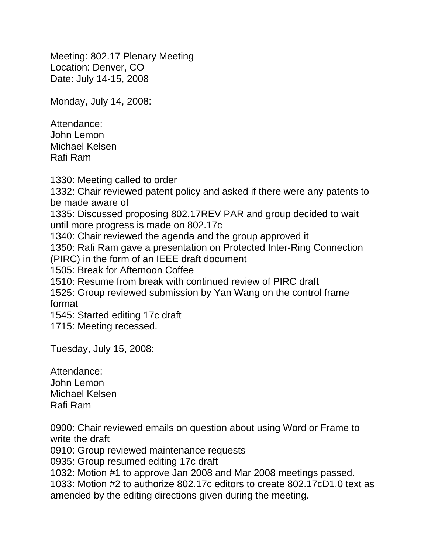Meeting: 802.17 Plenary Meeting Location: Denver, CO Date: July 14-15, 2008

Monday, July 14, 2008:

Attendance: John Lemon Michael Kelsen Rafi Ram

1330: Meeting called to order

1332: Chair reviewed patent policy and asked if there were any patents to be made aware of

1335: Discussed proposing 802.17REV PAR and group decided to wait until more progress is made on 802.17c

1340: Chair reviewed the agenda and the group approved it

1350: Rafi Ram gave a presentation on Protected Inter-Ring Connection

(PIRC) in the form of an IEEE draft document

1505: Break for Afternoon Coffee

1510: Resume from break with continued review of PIRC draft

1525: Group reviewed submission by Yan Wang on the control frame format

1545: Started editing 17c draft

1715: Meeting recessed.

Tuesday, July 15, 2008:

Attendance: John Lemon Michael Kelsen Rafi Ram

0900: Chair reviewed emails on question about using Word or Frame to write the draft

0910: Group reviewed maintenance requests

0935: Group resumed editing 17c draft

1032: Motion #1 to approve Jan 2008 and Mar 2008 meetings passed.

1033: Motion #2 to authorize 802.17c editors to create 802.17cD1.0 text as amended by the editing directions given during the meeting.